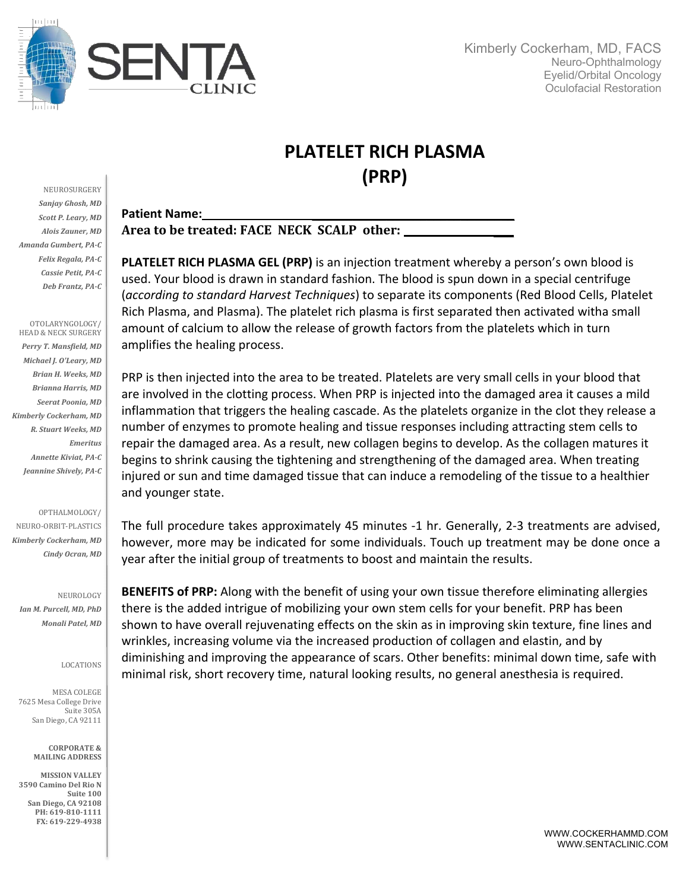

## **PLATELET RICH PLASMA (PRP)**

NEUROSURGERY **Sanjay Ghosh, MD Scott P. Leary, MD** *Alois Zauner, MD Amanda Gumbert, PA-C Felix Regala, PA-C Cassie Petit, PA-C Deb Frantz, PA-C*

OTOLARYNGOLOGY/ HEAD & NECK SURGERY Perry T. Mansfield, MD *Michael J. O'Leary, MD Brian H. Weeks, MD Brianna Harris, MD Seerat Poonia, MD Kimberly Cockerham, MD R. Stuart Weeks, MD Emeritus Annette Kiviat, PA-C* Jeannine Shively, PA-C

OPTHALMOLOGY/

NEURO-ORBIT-PLASTICS *Kimberly Cockerham, MD Cindy Ocran, MD*

NEUROLOGY *Ian M. Purcell, MD, PhD Monali Patel, MD*

LOCATIONS

MESA COLEGE 7625 Mesa College Drive Suite 305A San Diego, CA 92111

> **CORPORATE & MAILING ADDRESS**

**MISSION VALLEY 3590 Camino Del Rio N** Suite 100 **San Diego, CA 92108** PH: 619-810-1111 **FX: 619-229-4938**

## Patient Name:

Area to be treated: FACE NECK SCALP other:

**PLATELET RICH PLASMA GEL (PRP)** is an injection treatment whereby a person's own blood is used. Your blood is drawn in standard fashion. The blood is spun down in a special centrifuge (*according to standard Harvest Techniques*) to separate its components (Red Blood Cells, Platelet Rich Plasma, and Plasma). The platelet rich plasma is first separated then activated witha small amount of calcium to allow the release of growth factors from the platelets which in turn amplifies the healing process.

PRP is then injected into the area to be treated. Platelets are very small cells in your blood that are involved in the clotting process. When PRP is injected into the damaged area it causes a mild inflammation that triggers the healing cascade. As the platelets organize in the clot they release a number of enzymes to promote healing and tissue responses including attracting stem cells to repair the damaged area. As a result, new collagen begins to develop. As the collagen matures it begins to shrink causing the tightening and strengthening of the damaged area. When treating injured or sun and time damaged tissue that can induce a remodeling of the tissue to a healthier and younger state.

The full procedure takes approximately 45 minutes -1 hr. Generally, 2-3 treatments are advised, however, more may be indicated for some individuals. Touch up treatment may be done once a year after the initial group of treatments to boost and maintain the results.

**BENEFITS of PRP:** Along with the benefit of using your own tissue therefore eliminating allergies there is the added intrigue of mobilizing your own stem cells for your benefit. PRP has been shown to have overall rejuvenating effects on the skin as in improving skin texture, fine lines and wrinkles, increasing volume via the increased production of collagen and elastin, and by diminishing and improving the appearance of scars. Other benefits: minimal down time, safe with minimal risk, short recovery time, natural looking results, no general anesthesia is required.